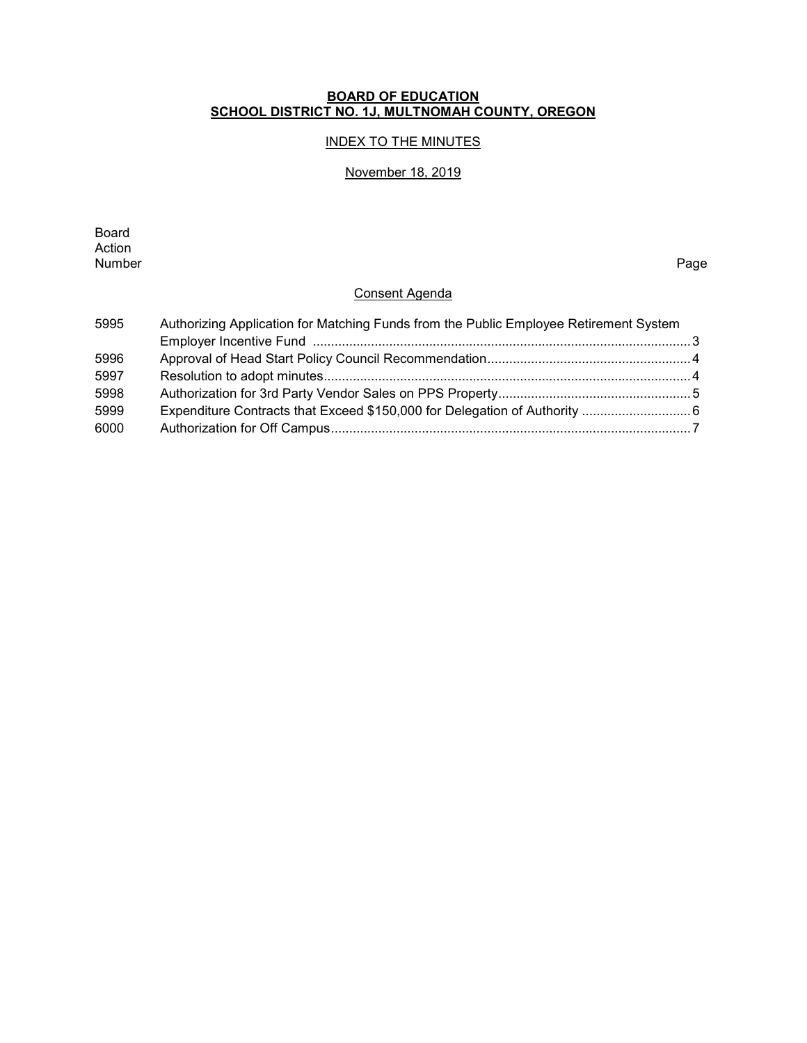# **BOARD OF EDUCATION SCHOOL DISTRICT NO. 1J, MULTNOMAH COUNTY, OREGON**

# INDEX TO THE MINUTES

#### November 18, 2019

Board Action<br>Number Number Page

# Consent Agenda

| 5995 | Authorizing Application for Matching Funds from the Public Employee Retirement System |  |
|------|---------------------------------------------------------------------------------------|--|
|      |                                                                                       |  |
| 5996 |                                                                                       |  |
| 5997 |                                                                                       |  |
| 5998 |                                                                                       |  |
| 5999 |                                                                                       |  |
| 6000 |                                                                                       |  |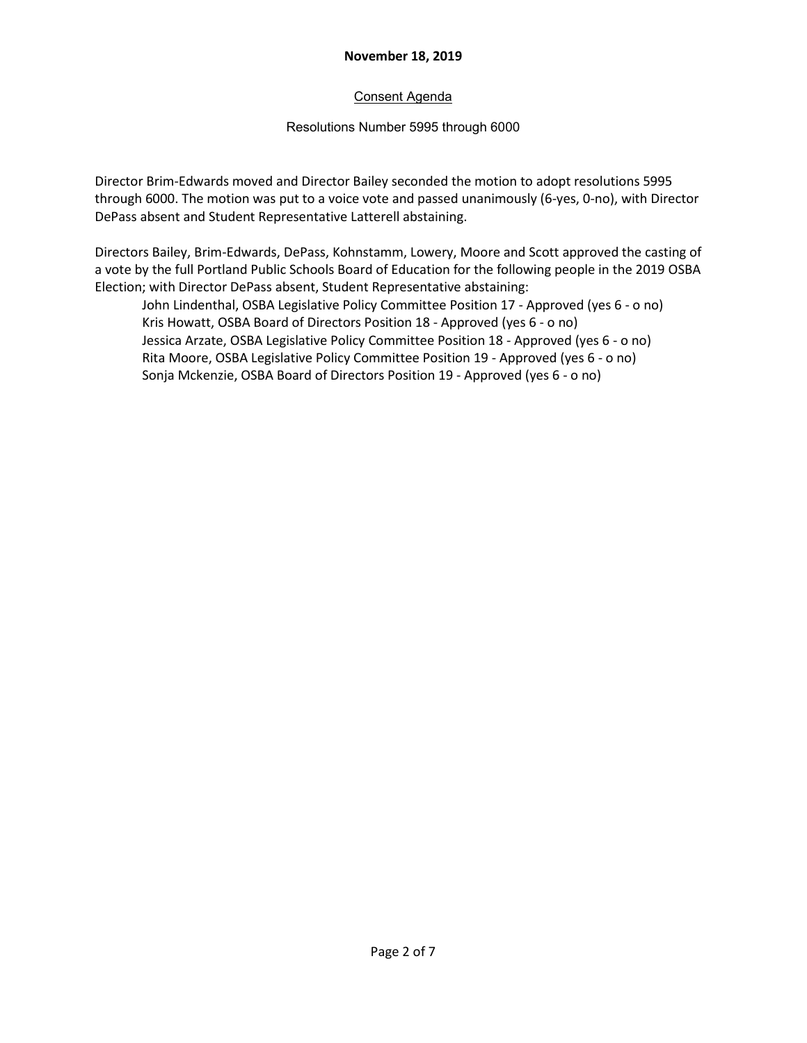## **November 18, 2019**

# Consent Agenda

## Resolutions Number 5995 through 6000

Director Brim-Edwards moved and Director Bailey seconded the motion to adopt resolutions 5995 through 6000. The motion was put to a voice vote and passed unanimously (6-yes, 0-no), with Director DePass absent and Student Representative Latterell abstaining.

Directors Bailey, Brim-Edwards, DePass, Kohnstamm, Lowery, Moore and Scott approved the casting of a vote by the full Portland Public Schools Board of Education for the following people in the 2019 OSBA Election; with Director DePass absent, Student Representative abstaining:

John Lindenthal, OSBA Legislative Policy Committee Position 17 - Approved (yes 6 - o no) Kris Howatt, OSBA Board of Directors Position 18 - Approved (yes 6 - o no) Jessica Arzate, OSBA Legislative Policy Committee Position 18 - Approved (yes 6 - o no) Rita Moore, OSBA Legislative Policy Committee Position 19 - Approved (yes 6 - o no) Sonja Mckenzie, OSBA Board of Directors Position 19 - Approved (yes 6 - o no)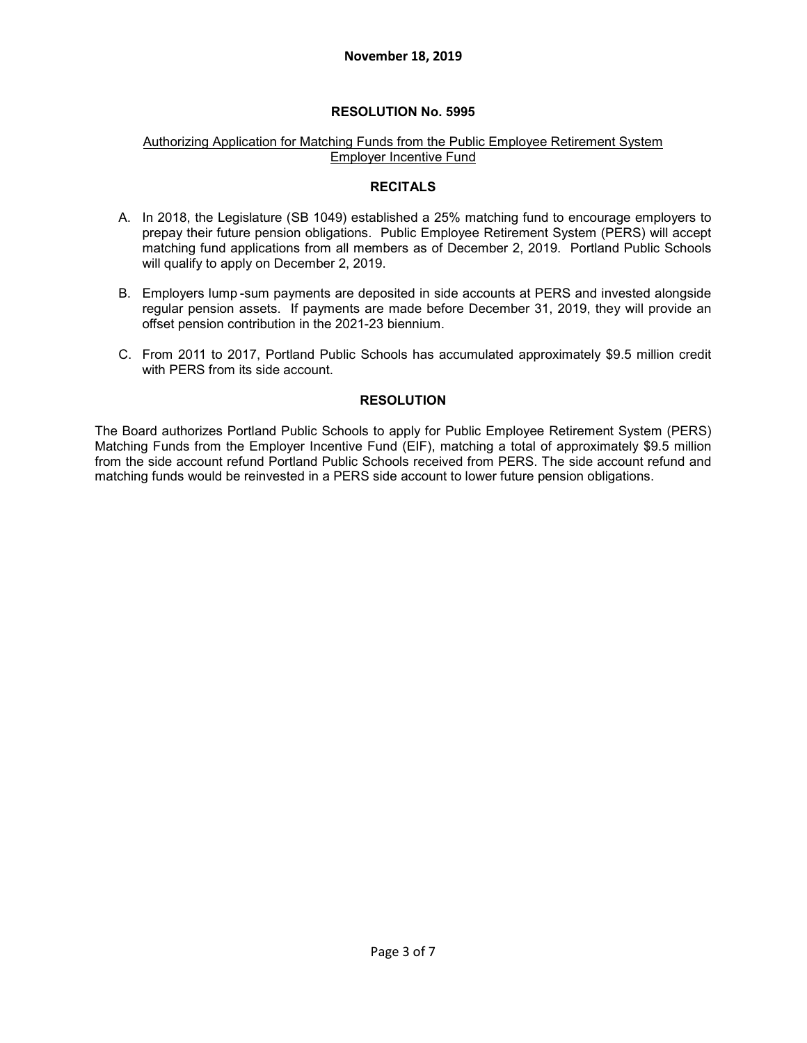## **RESOLUTION No. 5995**

### Authorizing Application for Matching Funds from the Public Employee Retirement System Employer Incentive Fund

### **RECITALS**

- A. In 2018, the Legislature (SB 1049) established a 25% matching fund to encourage employers to prepay their future pension obligations. Public Employee Retirement System (PERS) will accept matching fund applications from all members as of December 2, 2019. Portland Public Schools will qualify to apply on December 2, 2019.
- B. Employers lump -sum payments are deposited in side accounts at PERS and invested alongside regular pension assets. If payments are made before December 31, 2019, they will provide an offset pension contribution in the 2021-23 biennium.
- C. From 2011 to 2017, Portland Public Schools has accumulated approximately \$9.5 million credit with PERS from its side account.

#### **RESOLUTION**

The Board authorizes Portland Public Schools to apply for Public Employee Retirement System (PERS) Matching Funds from the Employer Incentive Fund (EIF), matching a total of approximately \$9.5 million from the side account refund Portland Public Schools received from PERS. The side account refund and matching funds would be reinvested in a PERS side account to lower future pension obligations.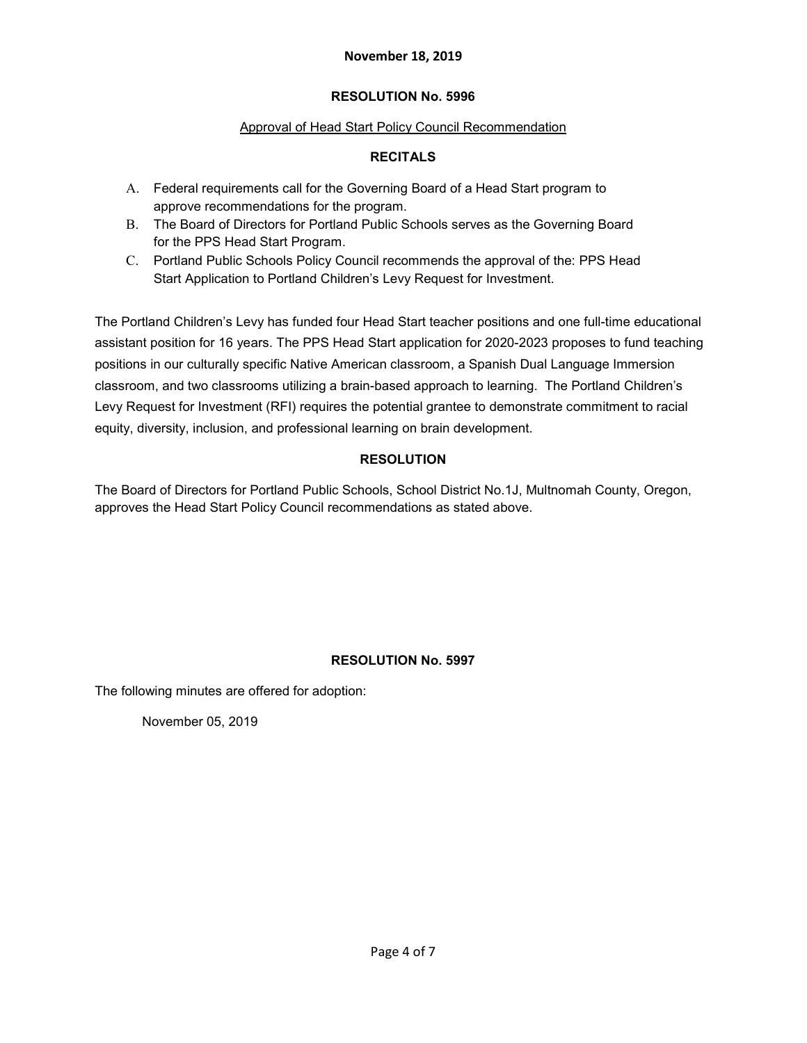## **November 18, 2019**

# **RESOLUTION No. 5996**

# Approval of Head Start Policy Council Recommendation

# **RECITALS**

- A. Federal requirements call for the Governing Board of a Head Start program to approve recommendations for the program.
- B. The Board of Directors for Portland Public Schools serves as the Governing Board for the PPS Head Start Program.
- C. Portland Public Schools Policy Council recommends the approval of the: PPS Head Start Application to Portland Children's Levy Request for Investment.

The Portland Children's Levy has funded four Head Start teacher positions and one full-time educational assistant position for 16 years. The PPS Head Start application for 2020-2023 proposes to fund teaching positions in our culturally specific Native American classroom, a Spanish Dual Language Immersion classroom, and two classrooms utilizing a brain-based approach to learning. The Portland Children's Levy Request for Investment (RFI) requires the potential grantee to demonstrate commitment to racial equity, diversity, inclusion, and professional learning on brain development.

# **RESOLUTION**

The Board of Directors for Portland Public Schools, School District No.1J, Multnomah County, Oregon, approves the Head Start Policy Council recommendations as stated above.

# **RESOLUTION No. 5997**

The following minutes are offered for adoption:

November 05, 2019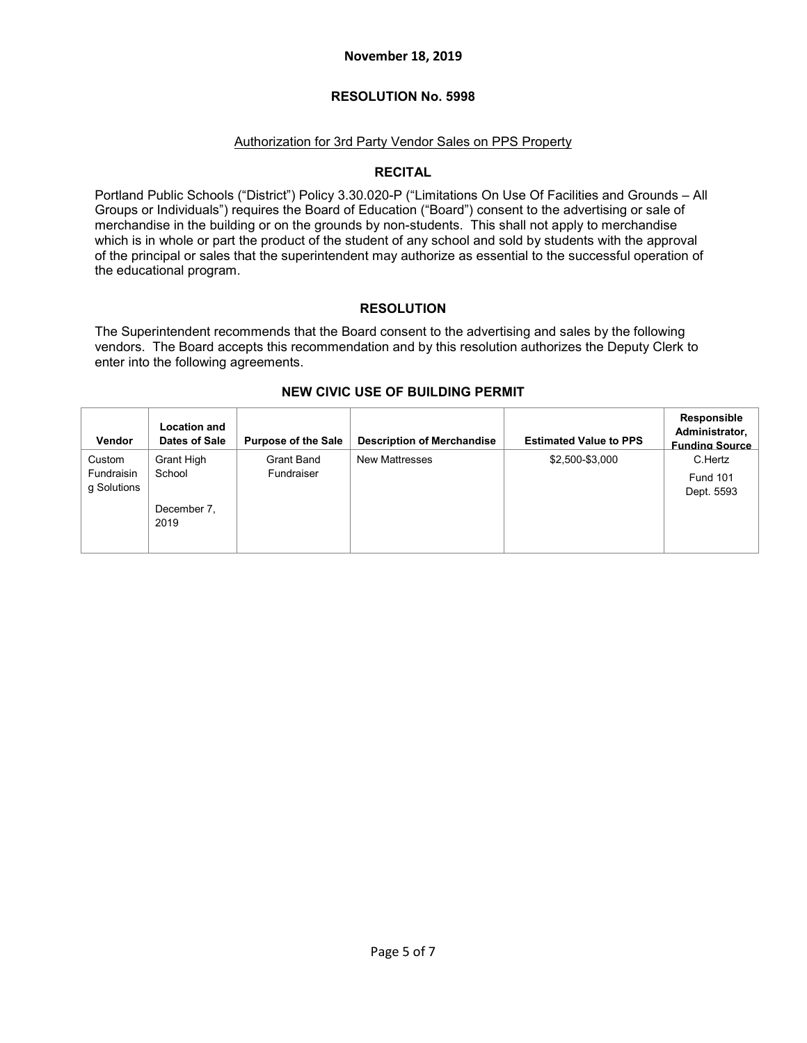#### **November 18, 2019**

### **RESOLUTION No. 5998**

### Authorization for 3rd Party Vendor Sales on PPS Property

#### **RECITAL**

Portland Public Schools ("District") Policy 3.30.020-P ("Limitations On Use Of Facilities and Grounds – All Groups or Individuals") requires the Board of Education ("Board") consent to the advertising or sale of merchandise in the building or on the grounds by non-students. This shall not apply to merchandise which is in whole or part the product of the student of any school and sold by students with the approval of the principal or sales that the superintendent may authorize as essential to the successful operation of the educational program.

#### **RESOLUTION**

The Superintendent recommends that the Board consent to the advertising and sales by the following vendors. The Board accepts this recommendation and by this resolution authorizes the Deputy Clerk to enter into the following agreements.

| <b>Vendor</b>                       | <b>Location and</b><br>Dates of Sale | <b>Purpose of the Sale</b> | <b>Description of Merchandise</b> | <b>Estimated Value to PPS</b> | Responsible<br>Administrator,<br><b>Funding Source</b> |
|-------------------------------------|--------------------------------------|----------------------------|-----------------------------------|-------------------------------|--------------------------------------------------------|
| Custom<br>Fundraisin<br>g Solutions | Grant High<br>School                 | Grant Band<br>Fundraiser   | <b>New Mattresses</b>             | \$2,500-\$3,000               | C.Hertz<br><b>Fund 101</b><br>Dept. 5593               |
|                                     | December 7.<br>2019                  |                            |                                   |                               |                                                        |

### **NEW CIVIC USE OF BUILDING PERMIT**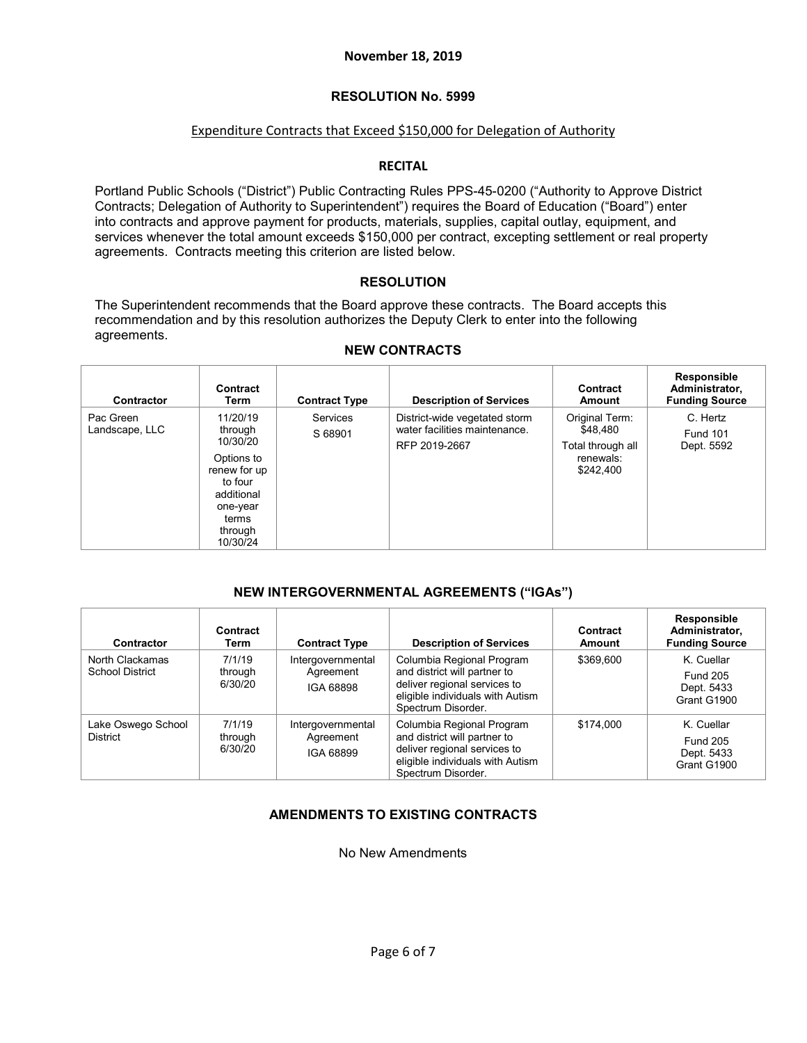## **RESOLUTION No. 5999**

## Expenditure Contracts that Exceed \$150,000 for Delegation of Authority

# **RECITAL**

Portland Public Schools ("District") Public Contracting Rules PPS-45-0200 ("Authority to Approve District Contracts; Delegation of Authority to Superintendent") requires the Board of Education ("Board") enter into contracts and approve payment for products, materials, supplies, capital outlay, equipment, and services whenever the total amount exceeds \$150,000 per contract, excepting settlement or real property agreements. Contracts meeting this criterion are listed below.

### **RESOLUTION**

The Superintendent recommends that the Board approve these contracts. The Board accepts this recommendation and by this resolution authorizes the Deputy Clerk to enter into the following agreements.

| Contractor                  | Contract<br>Term                                                                                                                   | <b>Contract Type</b>       | <b>Description of Services</b>                                                  | Contract<br>Amount                                                        | Responsible<br>Administrator,<br><b>Funding Source</b> |
|-----------------------------|------------------------------------------------------------------------------------------------------------------------------------|----------------------------|---------------------------------------------------------------------------------|---------------------------------------------------------------------------|--------------------------------------------------------|
| Pac Green<br>Landscape, LLC | 11/20/19<br>through<br>10/30/20<br>Options to<br>renew for up<br>to four<br>additional<br>one-year<br>terms<br>through<br>10/30/24 | <b>Services</b><br>S 68901 | District-wide vegetated storm<br>water facilities maintenance.<br>RFP 2019-2667 | Original Term:<br>\$48,480<br>Total through all<br>renewals:<br>\$242,400 | C. Hertz<br><b>Fund 101</b><br>Dept. 5592              |

#### **NEW CONTRACTS**

# **NEW INTERGOVERNMENTAL AGREEMENTS ("IGAs")**

| Contractor                                | Contract<br>Term             | <b>Contract Type</b>                        | <b>Description of Services</b>                                                                                                                      | Contract<br>Amount | Responsible<br>Administrator,<br><b>Funding Source</b>     |
|-------------------------------------------|------------------------------|---------------------------------------------|-----------------------------------------------------------------------------------------------------------------------------------------------------|--------------------|------------------------------------------------------------|
| North Clackamas<br><b>School District</b> | 7/1/19<br>through<br>6/30/20 | Intergovernmental<br>Agreement<br>IGA 68898 | Columbia Regional Program<br>and district will partner to<br>deliver regional services to<br>eligible individuals with Autism<br>Spectrum Disorder. | \$369,600          | K. Cuellar<br><b>Fund 205</b><br>Dept. 5433<br>Grant G1900 |
| Lake Oswego School<br><b>District</b>     | 7/1/19<br>through<br>6/30/20 | Intergovernmental<br>Agreement<br>IGA 68899 | Columbia Regional Program<br>and district will partner to<br>deliver regional services to<br>eligible individuals with Autism<br>Spectrum Disorder. | \$174,000          | K. Cuellar<br><b>Fund 205</b><br>Dept. 5433<br>Grant G1900 |

# **AMENDMENTS TO EXISTING CONTRACTS**

No New Amendments